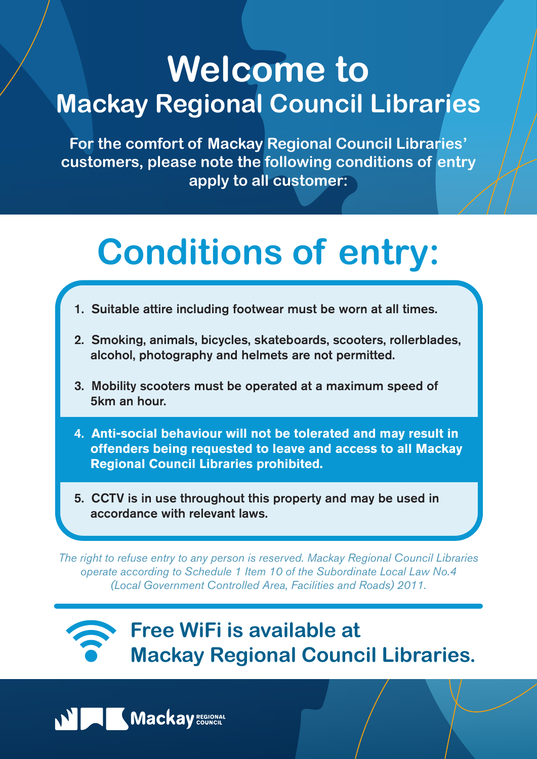## **Welcome to Mackay Regional Council Libraries**

**For the comfort of Mackay Regional Council Libraries' customers, please note the following conditions of entry apply to all customer:**

- 1. Suitable attire including footwear must be worn at all times.
- 2. Smoking, animals, bicycles, skateboards, scooters, rollerblades, alcohol, photography and helmets are not permitted.
- 3. Mobility scooters must be operated at a maximum speed of 5km an hour.
- 4. **Anti-social behaviour will not be tolerated and may result in offenders being requested to leave and access to all Mackay Regional Council Libraries prohibited.**
- 5. CCTV is in use throughout this property and may be used in accordance with relevant laws.

*The right to refuse entry to any person is reserved. Mackay Regional Council Libraries operate according to Schedule 1 Item 10 of the Subordinate Local Law No.4*

*(Local Government Controlled Area, Facilities and Roads) 2011.*

# **Conditions of entry:**

### **Free WiFi is available at Mackay Regional Council Libraries.**

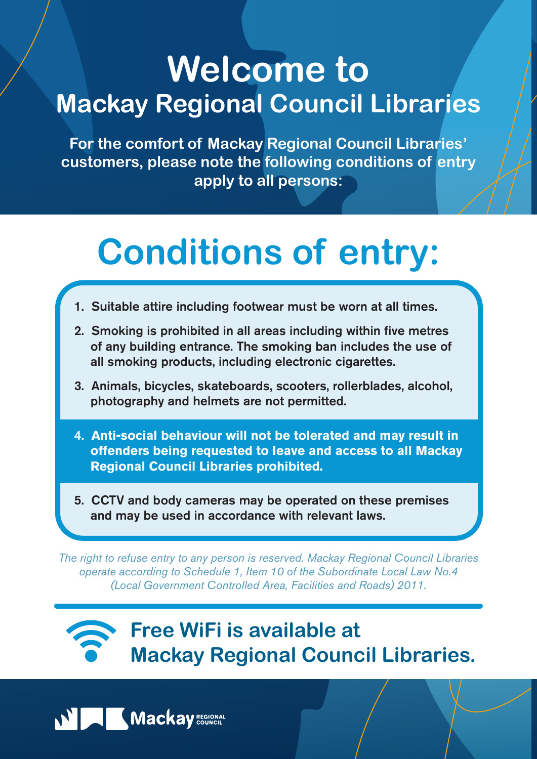## **Welcome to Mackay Regional Council Libraries**

**For the comfort of Mackay Regional Council Libraries' customers, please note the following conditions of entry apply to all persons:**

- 1. Suitable attire including footwear must be worn at all times.
- 2. Smoking is prohibited in all areas including within five metres of any building entrance. The smoking ban includes the use of all smoking products, including electronic cigarettes.
- 3. Animals, bicycles, skateboards, scooters, rollerblades, alcohol, photography and helmets are not permitted.
- 4. **Anti-social behaviour will not be tolerated and may result in offenders being requested to leave and access to all Mackay Regional Council Libraries prohibited.**
- 5. CCTV and body cameras may be operated on these premises and may be used in accordance with relevant laws.

*The right to refuse entry to any person is reserved. Mackay Regional Council Libraries operate according to Schedule 1, Item 10 of the Subordinate Local Law No.4*

*(Local Government Controlled Area, Facilities and Roads) 2011.*

## **Conditions of entry:**

### **Free WiFi is available at Mackay Regional Council Libraries.**